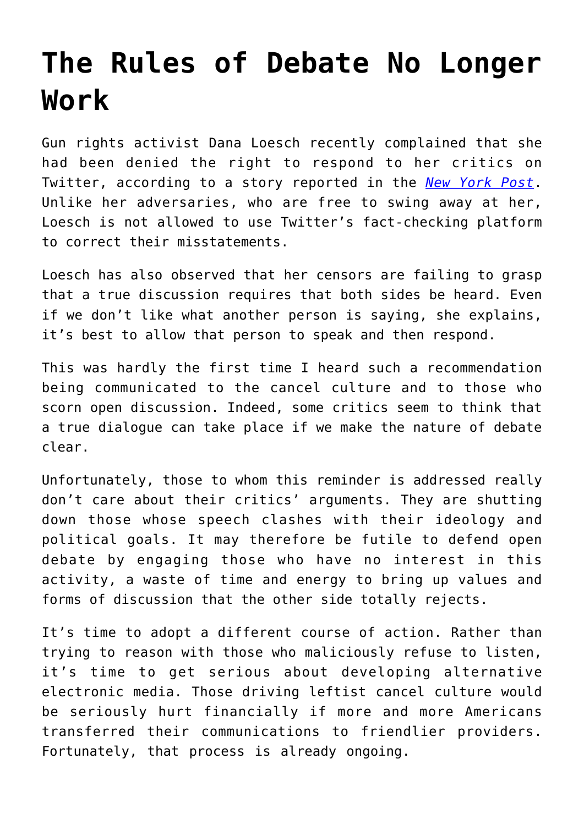## **[The Rules of Debate No Longer](https://intellectualtakeout.org/2021/02/the-rules-of-debate-no-longer-work/) [Work](https://intellectualtakeout.org/2021/02/the-rules-of-debate-no-longer-work/)**

Gun rights activist Dana Loesch recently complained that she had been denied the right to respond to her critics on Twitter, according to a story reported in the *[New York Post](https://nypost.com/2021/01/26/dana-loesch-says-shes-blocked-from-twitters-birdwatch/)*. Unlike her adversaries, who are free to swing away at her, Loesch is not allowed to use Twitter's fact-checking platform to correct their misstatements.

Loesch has also observed that her censors are failing to grasp that a true discussion requires that both sides be heard. Even if we don't like what another person is saying, she explains, it's best to allow that person to speak and then respond.

This was hardly the first time I heard such a recommendation being communicated to the cancel culture and to those who scorn open discussion. Indeed, some critics seem to think that a true dialogue can take place if we make the nature of debate clear.

Unfortunately, those to whom this reminder is addressed really don't care about their critics' arguments. They are shutting down those whose speech clashes with their ideology and political goals. It may therefore be futile to defend open debate by engaging those who have no interest in this activity, a waste of time and energy to bring up values and forms of discussion that the other side totally rejects.

It's time to adopt a different course of action. Rather than trying to reason with those who maliciously refuse to listen, it's time to get serious about developing alternative electronic media. Those driving leftist cancel culture would be seriously hurt financially if more and more Americans transferred their communications to friendlier providers. Fortunately, that process is already ongoing.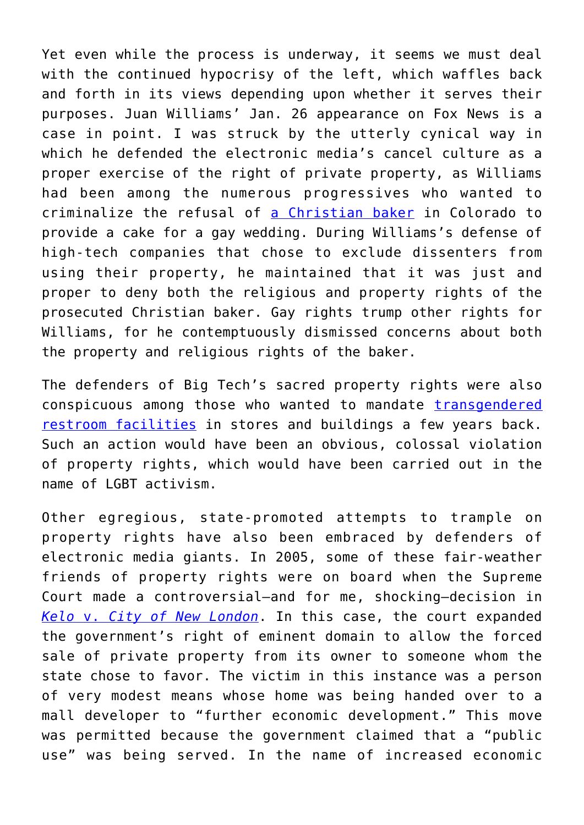Yet even while the process is underway, it seems we must deal with the continued hypocrisy of the left, which waffles back and forth in its views depending upon whether it serves their purposes. Juan Williams' Jan. 26 appearance on Fox News is a case in point. I was struck by the utterly cynical way in which he defended the electronic media's cancel culture as a proper exercise of the right of private property, as Williams had been among the numerous progressives who wanted to criminalize the refusal of [a Christian baker](https://www.theblaze.com/news/colorado-baker-gay-cake-transition-cake) in Colorado to provide a cake for a gay wedding. During Williams's defense of high-tech companies that chose to exclude dissenters from using their property, he maintained that it was just and proper to deny both the religious and property rights of the prosecuted Christian baker. Gay rights trump other rights for Williams, for he contemptuously dismissed concerns about both the property and religious rights of the baker.

The defenders of Big Tech's sacred property rights were also conspicuous among those who wanted to mandate [transgendered](https://www.indystar.com/story/news/2017/05/31/federal-ruling-makes-easier-indiana-transgender-students-use-bathroom/356035001/) [restroom facilities](https://www.indystar.com/story/news/2017/05/31/federal-ruling-makes-easier-indiana-transgender-students-use-bathroom/356035001/) in stores and buildings a few years back. Such an action would have been an obvious, colossal violation of property rights, which would have been carried out in the name of LGBT activism.

Other egregious, state-promoted attempts to trample on property rights have also been embraced by defenders of electronic media giants. In 2005, some of these fair-weather friends of property rights were on board when the Supreme Court made a controversial—and for me, shocking—decision in *[Kelo](https://en.wikipedia.org/wiki/Kelo_v._City_of_New_London#:~:text=Kelo%20v.%20City%20of%20New%20London%2C%20545%20U.S.,decision%2C%20the%20Court%20held%20that%20the%20general%20)* [v.](https://en.wikipedia.org/wiki/Kelo_v._City_of_New_London#:~:text=Kelo%20v.%20City%20of%20New%20London%2C%20545%20U.S.,decision%2C%20the%20Court%20held%20that%20the%20general%20) *[City of New London](https://en.wikipedia.org/wiki/Kelo_v._City_of_New_London#:~:text=Kelo%20v.%20City%20of%20New%20London%2C%20545%20U.S.,decision%2C%20the%20Court%20held%20that%20the%20general%20)*. In this case, the court expanded the government's right of eminent domain to allow the forced sale of private property from its owner to someone whom the state chose to favor. The victim in this instance was a person of very modest means whose home was being handed over to a mall developer to "further economic development." This move was permitted because the government claimed that a "public use" was being served. In the name of increased economic